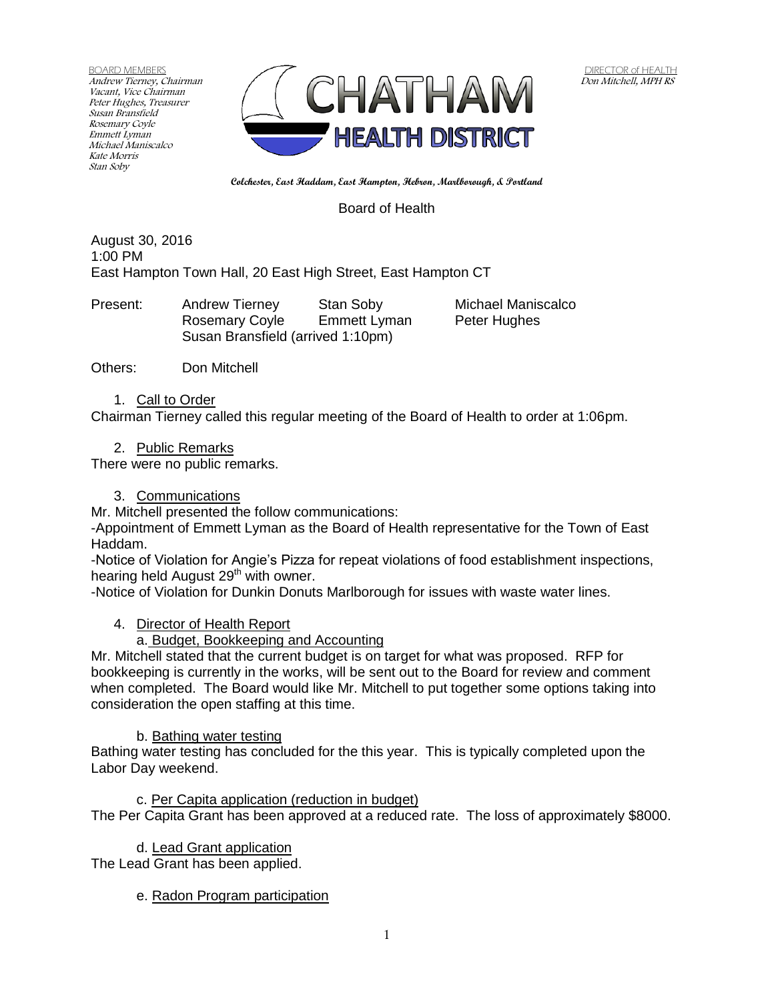BOARD MEMBERS Andrew Tierney, Chairman Vacant, Vice Chairman Peter Hughes, Treasurer Susan Bransfield Rosemary Coyle Emmett Lyman Michael Maniscalco Kate Morris Stan Soby



**Colchester, East Haddam, East Hampton, Hebron, Marlborough, & Portland**

Board of Health

August 30, 2016 1:00 PM East Hampton Town Hall, 20 East High Street, East Hampton CT

Present: Andrew Tierney Stan Soby Michael Maniscalco Rosemary Coyle Emmett Lyman Peter Hughes Susan Bransfield (arrived 1:10pm)

Others: Don Mitchell

1. Call to Order

Chairman Tierney called this regular meeting of the Board of Health to order at 1:06pm.

2. Public Remarks

There were no public remarks.

3. Communications

Mr. Mitchell presented the follow communications:

-Appointment of Emmett Lyman as the Board of Health representative for the Town of East Haddam.

-Notice of Violation for Angie's Pizza for repeat violations of food establishment inspections, hearing held August  $29<sup>th</sup>$  with owner.

-Notice of Violation for Dunkin Donuts Marlborough for issues with waste water lines.

4. Director of Health Report

a. Budget, Bookkeeping and Accounting

Mr. Mitchell stated that the current budget is on target for what was proposed. RFP for bookkeeping is currently in the works, will be sent out to the Board for review and comment when completed. The Board would like Mr. Mitchell to put together some options taking into consideration the open staffing at this time.

b. Bathing water testing

Bathing water testing has concluded for the this year. This is typically completed upon the Labor Day weekend.

c. Per Capita application (reduction in budget) The Per Capita Grant has been approved at a reduced rate. The loss of approximately \$8000.

d. Lead Grant application

The Lead Grant has been applied.

e. Radon Program participation